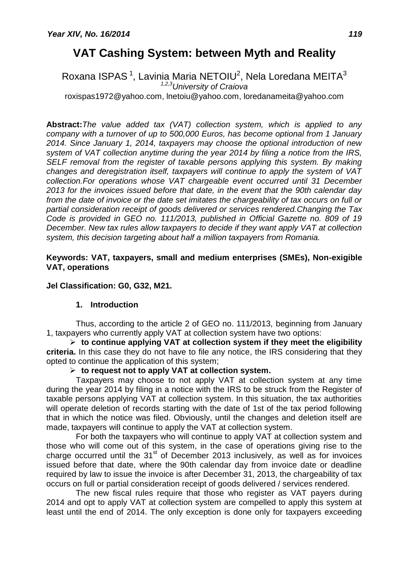# **VAT Cashing System: between Myth and Reality**

Roxana ISPAS $^{\rm 1}$ , Lavinia Maria NETOIU $^{\rm 2}$ , Nela Loredana MEITA $^{\rm 3}$ *1,2,3University of Craiova* [roxispas1972@yahoo.com,](mailto:roxispas1972@yahoo.com) [lnetoiu@yahoo.com,](mailto:lnetoiu@yahoo.com) [loredanameita@yahoo.com](mailto:loredanameita@yahoo.com)

**Abstract:***The value added tax (VAT) collection system, which is applied to any company with a turnover of up to 500,000 Euros, has become optional from 1 January 2014. Since January 1, 2014, taxpayers may choose the optional introduction of new system of VAT collection anytime during the year 2014 by filing a notice from the IRS, SELF removal from the register of taxable persons applying this system. By making changes and deregistration itself, taxpayers will continue to apply the system of VAT collection.For operations whose VAT chargeable event occurred until 31 December 2013 for the invoices issued before that date, in the event that the 90th calendar day from the date of invoice or the date set imitates the chargeability of tax occurs on full or partial consideration receipt of goods delivered or services rendered.Changing the Tax Code is provided in GEO no. 111/2013, published in Official Gazette no. 809 of 19 December. New tax rules allow taxpayers to decide if they want apply VAT at collection system, this decision targeting about half a million taxpayers from Romania.*

### **Keywords: VAT, taxpayers, small and medium enterprises (SMEs), Non-exigible VAT, operations**

## **Jel Classification: G0, G32, M21.**

#### **1. Introduction**

Thus, according to the article 2 of GEO no. 111/2013, beginning from January 1, taxpayers who currently apply VAT at collection system have two options:

 $\triangleright$  to continue applying VAT at collection system if they meet the eligibility **criteria.** In this case they do not have to file any notice, the IRS considering that they opted to continue the application of this system;

## **to request not to apply VAT at collection system.**

Taxpayers may choose to not apply VAT at collection system at any time during the year 2014 by filing in a notice with the IRS to be struck from the Register of taxable persons applying VAT at collection system. In this situation, the tax authorities will operate deletion of records starting with the date of 1st of the tax period following that in which the notice was filed. Obviously, until the changes and deletion itself are made, taxpayers will continue to apply the VAT at collection system.

For both the taxpayers who will continue to apply VAT at collection system and those who will come out of this system, in the case of operations giving rise to the charge occurred until the  $31<sup>st</sup>$  of December 2013 inclusively, as well as for invoices issued before that date, where the 90th calendar day from invoice date or deadline required by law to issue the invoice is after December 31, 2013, the chargeability of tax occurs on full or partial consideration receipt of goods delivered / services rendered.

The new fiscal rules require that those who register as VAT payers during 2014 and opt to apply VAT at collection system are compelled to apply this system at least until the end of 2014. The only exception is done only for taxpayers exceeding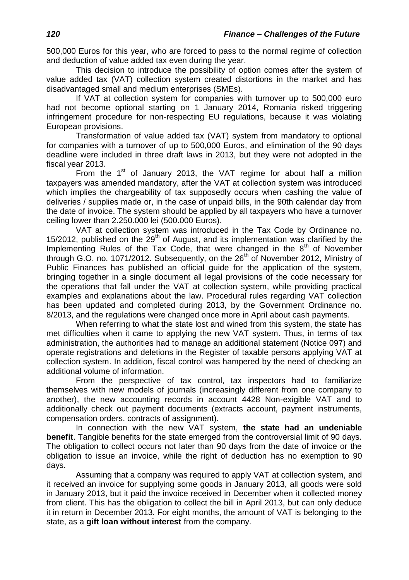500,000 Euros for this year, who are forced to pass to the normal regime of collection and deduction of value added tax even during the year.

This decision to introduce the possibility of option comes after the system of value added tax (VAT) collection system created distortions in the market and has disadvantaged small and medium enterprises (SMEs).

If VAT at collection system for companies with turnover up to 500,000 euro had not become optional starting on 1 January 2014, Romania risked triggering infringement procedure for non-respecting EU regulations, because it was violating European provisions.

Transformation of value added tax (VAT) system from mandatory to optional for companies with a turnover of up to 500,000 Euros, and elimination of the 90 days deadline were included in three draft laws in 2013, but they were not adopted in the fiscal year 2013.

From the  $1<sup>st</sup>$  of January 2013, the VAT regime for about half a million taxpayers was amended mandatory, after the VAT at collection system was introduced which implies the chargeability of tax supposedly occurs when cashing the value of deliveries / supplies made or, in the case of unpaid bills, in the 90th calendar day from the date of invoice. The system should be applied by all taxpayers who have a turnover ceiling lower than 2.250.000 lei (500.000 Euros).

VAT at collection system was introduced in the Tax Code by Ordinance no. 15/2012, published on the  $29<sup>th</sup>$  of August, and its implementation was clarified by the Implementing Rules of the Tax Code, that were changed in the  $8<sup>th</sup>$  of November through G.O. no. 1071/2012. Subsequently, on the  $26<sup>th</sup>$  of November 2012, Ministry of Public Finances has published an official guide for the application of the system, bringing together in a single document all legal provisions of the code necessary for the operations that fall under the VAT at collection system, while providing practical examples and explanations about the law. Procedural rules regarding VAT collection has been updated and completed during 2013, by the Government Ordinance no. 8/2013, and the regulations were changed once more in April about cash payments.

When referring to what the state lost and wined from this system, the state has met difficulties when it came to applying the new VAT system. Thus, in terms of tax administration, the authorities had to manage an additional statement (Notice 097) and operate registrations and deletions in the Register of taxable persons applying VAT at collection system. In addition, fiscal control was hampered by the need of checking an additional volume of information.

From the perspective of tax control, tax inspectors had to familiarize themselves with new models of journals (increasingly different from one company to another), the new accounting records in account 4428 Non-exigible VAT and to additionally check out payment documents (extracts account, payment instruments, compensation orders, contracts of assignment).

In connection with the new VAT system, **the state had an undeniable benefit**. Tangible benefits for the state emerged from the controversial limit of 90 days. The obligation to collect occurs not later than 90 days from the date of invoice or the obligation to issue an invoice, while the right of deduction has no exemption to 90 days.

Assuming that a company was required to apply VAT at collection system, and it received an invoice for supplying some goods in January 2013, all goods were sold in January 2013, but it paid the invoice received in December when it collected money from client. This has the obligation to collect the bill in April 2013, but can only deduce it in return in December 2013. For eight months, the amount of VAT is belonging to the state, as a **gift loan without interest** from the company.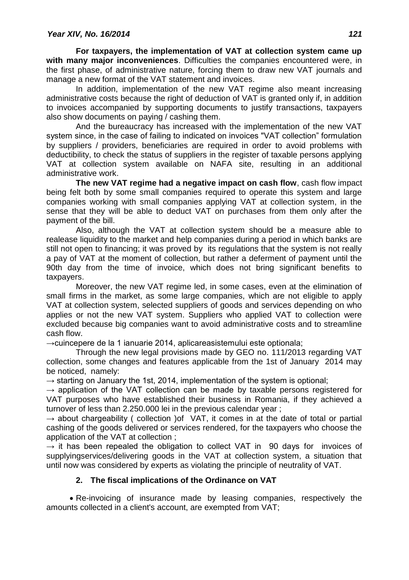**For taxpayers, the implementation of VAT at collection system came up with many major inconveniences**. Difficulties the companies encountered were, in the first phase, of administrative nature, forcing them to draw new VAT journals and manage a new format of the VAT statement and invoices.

In addition, implementation of the new VAT regime also meant increasing administrative costs because the right of deduction of VAT is granted only if, in addition to invoices accompanied by supporting documents to justify transactions, taxpayers also show documents on paying / cashing them.

And the bureaucracy has increased with the implementation of the new VAT system since, in the case of failing to indicated on invoices "VAT collection" formulation by suppliers / providers, beneficiaries are required in order to avoid problems with deductibility, to check the status of suppliers in the register of taxable persons applying VAT at collection system available on NAFA site, resulting in an additional administrative work.

**The new VAT regime had a negative impact on cash flow**, cash flow impact being felt both by some small companies required to operate this system and large companies working with small companies applying VAT at collection system, in the sense that they will be able to deduct VAT on purchases from them only after the payment of the bill.

Also, although the VAT at collection system should be a measure able to realease liquidity to the market and help companies during a period in which banks are still not open to financing; it was proved by its regulations that the system is not really a pay of VAT at the moment of collection, but rather a deferment of payment until the 90th day from the time of invoice, which does not bring significant benefits to taxpayers.

Moreover, the new VAT regime led, in some cases, even at the elimination of small firms in the market, as some large companies, which are not eligible to apply VAT at collection system, selected suppliers of goods and services depending on who applies or not the new VAT system. Suppliers who applied VAT to collection were excluded because big companies want to avoid administrative costs and to streamline cash flow.

→cuincepere de la 1 ianuarie 2014, aplicareasistemului este optionala;

Through the new legal provisions made by GEO no. 111/2013 regarding VAT collection, some changes and features applicable from the 1st of January 2014 may be noticed, namely:

 $\rightarrow$  starting on January the 1st, 2014, implementation of the system is optional;

 $\rightarrow$  application of the VAT collection can be made by taxable persons registered for VAT purposes who have established their business in Romania, if they achieved a turnover of less than 2.250.000 lei in the previous calendar year ;

 $\rightarrow$  about chargeability ( collection )of VAT, it comes in at the date of total or partial cashing of the goods delivered or services rendered, for the taxpayers who choose the application of the VAT at collection ;

 $\rightarrow$  it has been repealed the obligation to collect VAT in 90 days for invoices of supplyingservices/delivering goods in the VAT at collection system, a situation that until now was considered by experts as violating the principle of neutrality of VAT.

# **2. The fiscal implications of the Ordinance on VAT**

 Re-invoicing of insurance made by leasing companies, respectively the amounts collected in a client's account, are exempted from VAT;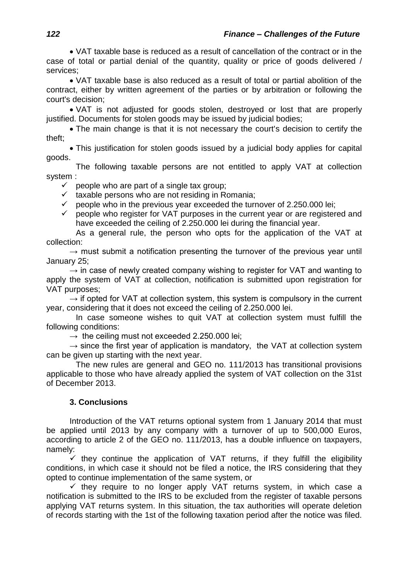VAT taxable base is reduced as a result of cancellation of the contract or in the case of total or partial denial of the quantity, quality or price of goods delivered / services;

 VAT taxable base is also reduced as a result of total or partial abolition of the contract, either by written agreement of the parties or by arbitration or following the court's decision;

 VAT is not adjusted for goods stolen, destroyed or lost that are properly justified. Documents for stolen goods may be issued by judicial bodies;

• The main change is that it is not necessary the court's decision to certify the theft;

 This justification for stolen goods issued by a judicial body applies for capital goods.

The following taxable persons are not entitled to apply VAT at collection system :

 $\checkmark$  people who are part of a single tax group;

 $\checkmark$  taxable persons who are not residing in Romania;<br> $\checkmark$  people who in the previous year exceeded the turn  $\checkmark$  people who in the previous year exceeded the turnover of 2.250.000 lei;<br> $\checkmark$  people who register for VAT purposes in the current year or are registered

 people who register for VAT purposes in the current year or are registered and have exceeded the ceiling of 2.250.000 lei during the financial year.

As a general rule, the person who opts for the application of the VAT at collection:

 $\rightarrow$  must submit a notification presenting the turnover of the previous vear until January 25;

 $\rightarrow$  in case of newly created company wishing to register for VAT and wanting to apply the system of VAT at collection, notification is submitted upon registration for VAT purposes;

 $\rightarrow$  if opted for VAT at collection system, this system is compulsory in the current year, considering that it does not exceed the ceiling of 2.250.000 lei.

In case someone wishes to quit VAT at collection system must fulfill the following conditions:

 $\rightarrow$  the ceiling must not exceeded 2.250.000 lei;

 $\rightarrow$  since the first year of application is mandatory, the VAT at collection system can be given up starting with the next year.

The new rules are general and GEO no. 111/2013 has transitional provisions applicable to those who have already applied the system of VAT collection on the 31st of December 2013.

#### **3. Conclusions**

Introduction of the VAT returns optional system from 1 January 2014 that must be applied until 2013 by any company with a turnover of up to 500,000 Euros, according to article 2 of the GEO no. 111/2013, has a double influence on taxpayers, namely:

 $\checkmark$  they continue the application of VAT returns, if they fulfill the eligibility conditions, in which case it should not be filed a notice, the IRS considering that they opted to continue implementation of the same system, or

 $\checkmark$  they require to no longer apply VAT returns system, in which case a notification is submitted to the IRS to be excluded from the register of taxable persons applying VAT returns system. In this situation, the tax authorities will operate deletion of records starting with the 1st of the following taxation period after the notice was filed.